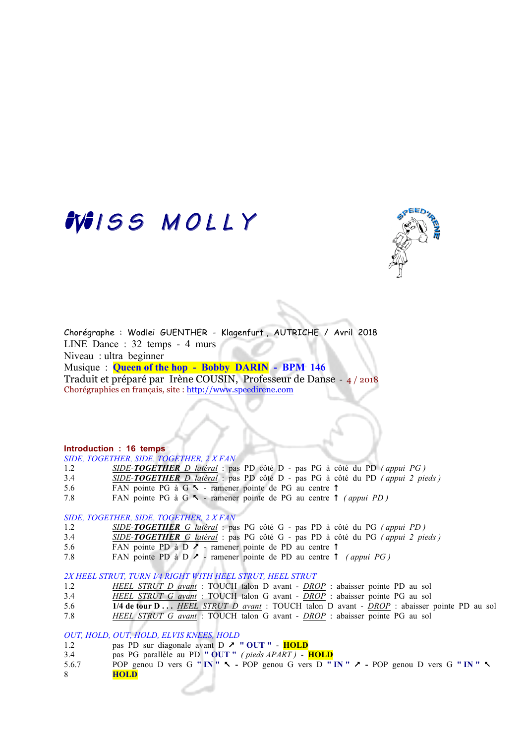# WISS MOLLY



Chorégraphe : Wodlei GUENTHER - Klagenfurt , AUTRICHE / Avril 2018 LINE Dance : 32 temps - 4 murs Niveau : ultra beginner Musique : **Queen of the hop - Bobby DARIN - BPM 146** 

Traduit et préparé par Irène COUSIN, Professeur de Danse - 4 / 2018 Chorégraphies en français, site : http://www.speedirene.com

### **Introduction : 16 temps**

*SIDE, TOGETHER, SIDE, TOGETHER, 2 X FAN*

- 1.2 *SIDE-TOGETHER D latéral* : pas PD côté D pas PG à côté du PD *( appui PG )*
- 3.4 *SIDE-TOGETHER D latéral* : pas PD côté D pas PG à côté du PD *( appui 2 pieds )*
- 5.6 FAN pointe PG à G  $\sim$  ramener pointe de PG au centre  $\uparrow$
- 7.8 FAN pointe PG à G  $\sim$  ramener pointe de PG au centre  $\uparrow$  (appui PD)

#### *SIDE, TOGETHER, SIDE, TOGETHER, 2 X FAN*

- 1.2 *SIDE-TOGETHER G latéral* : pas PG côté G pas PD à côté du PG *( appui PD )*
- 3.4 *SIDE-TOGETHER G latéral* : pas PG côté G pas PD à côté du PG *( appui 2 pieds )*
- 5.6 FAN pointe PD à D  $\ge$  ramener pointe de PD au centre  $\uparrow$
- 7.8 FAN pointe PD à D  $\geq$  ramener pointe de PD au centre  $\uparrow$  *(appui PG)*

*2X HEEL STRUT, TURN 1⁄4 RIGHT WITH HEEL STRUT, HEEL STRUT*

- 1.2 *HEEL STRUT D avant* : TOUCH talon D avant *DROP* : abaisser pointe PD au sol
- 3.4 *HEEL STRUT G avant* : TOUCH talon G avant *DROP* : abaisser pointe PG au sol
- 5.6 **1/4 de tour D . . .** *HEEL STRUT D avant* : TOUCH talon D avant *DROP* : abaisser pointe PD au sol
- 7.8 *HEEL STRUT G avant* : TOUCH talon G avant *DROP* : abaisser pointe PG au sol

*OUT, HOLD, OUT, HOLD, ELVIS KNEES, HOLD*

- 1.2 pas PD sur diagonale avant D & **" OUT " HOLD**
- 3.4 pas PG parallèle au PD **" OUT "** *( pieds APART )*  **HOLD**
- 5.6.7 POP genou D vers G **" IN "** %POP genou G vers D **" IN "** &POP genou D vers G **" IN "** % 8 **HOLD**